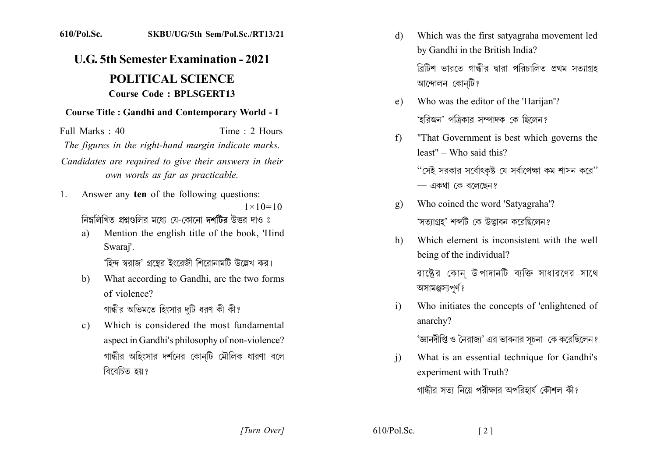## 610/Pol.Sc. SKBU/UG/5th Sem/Pol.Sc./RT13/21

## **U.G. 5th Semester Examination - 2021**

## **POLITICAL SCIENCE Course Code: BPLSGERT13**

## **Course Title: Gandhi and Contemporary World - I**

Full Marks  $\cdot$  40 Time  $\cdot$  2 Hours The figures in the right-hand margin indicate marks. Candidates are required to give their answers in their own words as far as practicable.

- Answer any ten of the following questions:  $\mathbf{1}$  $1 \times 10 = 10$ নিম্নলিখিত প্ৰশ্নংগলিব মধ্যে যে-কোনো দশটিৰ উত্তৰ দাও ঃ
	- Mention the english title of the book, 'Hind a) Swarai'. 'হিন্দ স্বরাজ' গ্রন্থের ইংরেজী শিরোনামটি উল্লেখ কর।
	- What according to Gandhi, are the two forms  $h$ of violence?

গান্ধীর অভিমতে হিংসার দুটি ধরণ কী কী?

Which is considered the most fundamental  $c)$ aspect in Gandhi's philosophy of non-violence? গান্ধীর অহিংসার দর্শনের কোনটি মৌলিক ধারণা বলে বিবেচিত হয়?

- Which was the first satyagraha movement led d) by Gandhi in the British India? ব্রিটিশ ভারতে গান্ধীর দ্বারা পরিচালিত প্রথম সত্যাগ্রহ আন্দোলন কোনটি?
- Who was the editor of the 'Harijan'?  $e)$ 'হরিজন' পত্রিকার সম্পাদক কে ছিলেন?
- "That Government is best which governs the  $f$  $least'' - Who said this?$

"সেই সরকার সর্বোৎকৃষ্ট যে সর্বাপেক্ষা কম শাসন করে"  $-$  একথা কে বলেছেন?

- Who coined the word 'Satyagraha'?  $g)$ 'সত্যাগ্রহ' শব্দটি কে উদ্ভাবন করেছিলেন?
- Which element is inconsistent with the well  $h)$ being of the individual?

রাষ্ট্রের কোন উপাদানটি ব্যক্তি সাধারণের সাথে অসামঞ্জস্যপর্ণ?

Who initiates the concepts of 'enlightened of  $\mathbf{i}$ anarchy?

'জ্ঞানদীপ্তি ও নৈরাজ্য' এর ভাবনার সচনা কে করেছিলেন?

What is an essential technique for Gandhi's  $\mathbf{i}$ experiment with Truth?

গান্ধীর সত্য নিয়ে পরীক্ষার অপরিহার্য কৌশল কী?

 $610/P<sub>o</sub>l$ . Sc.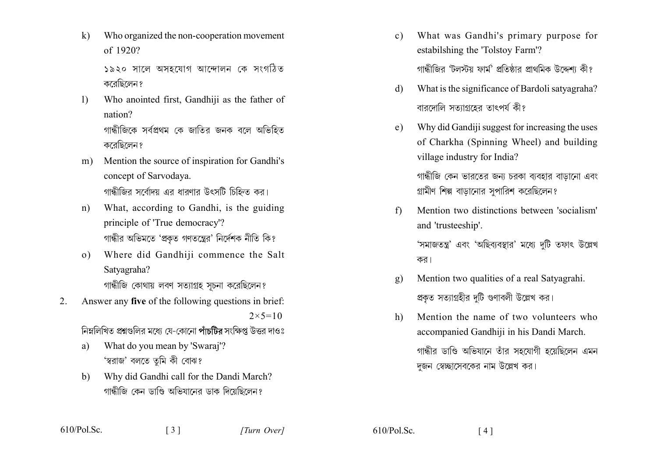$\bf k)$ Who organized the non-cooperation movement of 1920?

> ১৯২০ সালে অসহযোগ আন্দোলন কে সংগঠিত করেছিলেন?

 $\left| \right|$ Who anointed first, Gandhiji as the father of nation?

> গান্ধীজিকে সর্বপ্রথম কে জাতির জনক বলে অভিহিত করেছিলেন ?

- Mention the source of inspiration for Gandhi's  $m$ ) concept of Sarvodaya. গান্ধীজির সর্বোদয় এর ধারণার উৎসটি চিহ্নিত কর।
- What, according to Gandhi, is the guiding  $n)$ principle of 'True democracy'? গান্ধীর অভিমতে 'প্রকত গণতন্ত্রের' নির্দেশক নীতি কি?
- Where did Gandhiji commence the Salt  $\Omega$ Satyagraha? গান্ধীজি কোথায় লবণ সত্যাগ্রহ সচনা করেছিলেন?
- Answer any five of the following questions in brief:  $2.$  $2 \times 5 = 10$

নিম্নলিখিত প্রশ্নগুলির মধ্যে যে-কোনো পাঁচটির সংক্ষিপ্ন উত্তর দাওঃ

- What do you mean by 'Swaraj'? a) 'স্বরাজ' বলতে তুমি কী বোঝ?
- Why did Gandhi call for the Dandi March?  $h)$ গান্ধীজি কেন ডাণ্ডি অভিযানের ডাক দিয়েছিলেন?

 $\lceil 3 \rceil$ 

- What was Gandhi's primary purpose for  $c)$ estabilshing the 'Tolstoy Farm'? গান্ধীজিব 'টলস্টয় ফাৰ্ম' প্ৰতিষ্ঠাব প্ৰাথমিক উদ্দেশ্য কী?
- What is the significance of Bardoli satyagraha? d) বারদোলি সত্যাগতের তাৎপর্য কী?
- Why did Gandiji suggest for increasing the uses  $e)$ of Charkha (Spinning Wheel) and building village industry for India?

গান্ধীজি কেন ভারতের জন্য চরকা ব্যবহার বাডানো এবং গ্রামীণ শিল্প বাডানোর সুপারিশ করেছিলেন?

Mention two distinctions between 'socialism'  $f$ and 'trusteeship'.

> 'সমাজতন্ত্র' এবং 'অছিব্যবস্থার' মধ্যে দটি তফাৎ উল্লেখ কর।

- Mention two qualities of a real Satyagrahi.  $g)$ প্রকত সত্যাগ্রহীর দটি গুণাবলী উল্লেখ কর।
- Mention the name of two volunteers who  $h)$ accompanied Gandhiji in his Dandi March. গান্ধীর ডাণ্ডি অভিযানে তাঁর সহযোগী হয়েছিলেন এমন দজন স্বেচ্ছাসেবকের নাম উল্লেখ কর।

 $610/P<sub>o</sub>l$ . Sc.